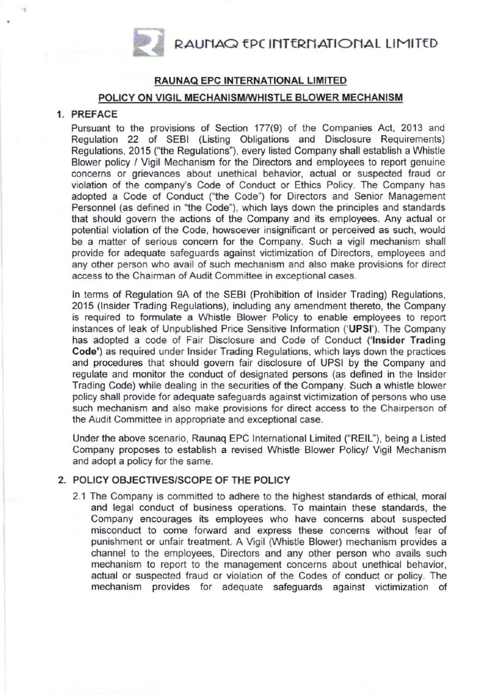RAUNAQ EPC INTERNATIONAL LIMITED

### RAUNAQ EPC INTERNATIONAL LIMITED

### POLICY ON VIGIL MECHANISM/WHISTLE BLOWER MECHANISM

# 1. PREFACE

Pursuant to the provisions of Section 177(9) of the Companies Act, 2013 and Regulation 22 of SEBI (Listing Obligations and Disclosure Requirements) Regulations, 2015 ("the Regulations"), every listed Company shall establish a Whistle Blower policy / Vigil Mechanism for the Directors and employees to report genuine concerns or grievances about unethical behavior, actual or suspected fraud or violation of the company's Code of Conduct or Ethics Policy. The Company has adopted a Code of Conduct ("the Code') for Oirectors and Senior Management Personnel (as defined in "the Code"), which lays down the principles and standards that should govern the actions of the Company and its employees. Any actual or potential violation of the Code, howsoever insignificant or perceived as such, would be a matter of serious concern for the Company. Such a vigil mechanism shall provide for adequate safeguards against victimization of Directors, employees and any other person who avail of such mechanism and also make provisions for direct access to the Chairman of Audit Committee in exceptional cases.

In terms of Regulation 9A of the SEBI (Prohibition of Insider Trading) Regulations, 2015 (lnsider Trading Regulations), including any amendment thereto, the Company is required to formulate a Whistle Blower Policy to enable employees to report instances of leak of Unpublished Price Sensitive lnformation ('UPSI'). The Company has adopted a code of Fair Disclosure and Code of Conduct ('lnsider Trading Code') as required under lnsider Trading Regulations, which lays down the practices and procedures that should govern fair disclosure of UPSI by the Company and regulate and monitor the conduct of designated persons (as defined in the Insider Trading Code) while dealing in the securities of the Company. Such a whistle blower policy shall provide for adequate safeguards against victimization of persons who use such mechanism and also make provisions for direct access to the Chairperson of the Audit Committee in appropriate and exceptional case.

Under the above scenario, Raunaq EPC lnternational Limited ("RElL"), being a Listed Company proposes to establish a revised Whistle Blower Policy/ Vigil Mechanism and adopt a policy for the same.

#### 2. POLICY OBJECTIVES/SCOPE OF THE POLICY

2.1 The Company is committed to adhere to the highest standards of ethical, moral and legal conduct of business operations. To maintain these standards, the Company encourages its employees who have concerns about suspected misconduct to come forward and express these concerns without fear of punishment or unfair treatment. A Vigil (Whistle Blower) mechanism provides a channel to the employees, Directors and any other person who avails such mechanism to report to the management concerns about unethical behavior, actual or suspected fraud or violation of the Codes of conduct or policy. The mechanism provides for adequate safeguards against victimization of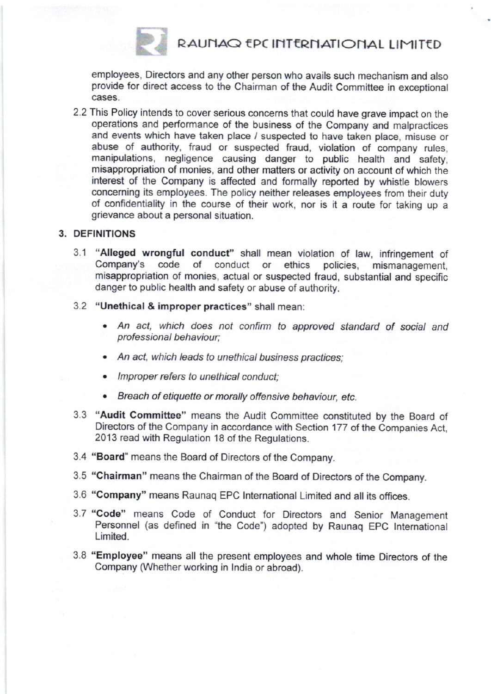# RAUNAQ EPC INTERNATIONAL LIMITED

employees, Directors and any other person who avails such mechanism and also provide for direct access to the Chairman of the Audit Committee in exceptional cases.

2.2 This Policy intends to cover serious concerns that could have grave impact on the operations and performance of the business of the Company and malpractices and events which have taken place / suspected to have taken place, misuse or abuse of authority. fraud or suspected fraud, violation of company rules, manipulations, negligence causing danger to public health and safety, misappropriation of monies, and other matters or activity on account of which the interest of the Company is affected and formally reported by whisfle blowers concerning its employees. The policy neither releases employees from their duty of confidentiality in the course of their work, nor is it a route for taking up a grievance about a personal situation.

## 3. DEFINITIONS

r(

- 3.1 "Alleged wrongful conduct" shall mean violation of law, infringement of Company's code of conduct or ethics policies, mismanagement misappropriation of monies, actual or suspected fraud, substantial and specific danger to public health and safety or abuse of authority.
- 3.2 "Unethical & improper practices" shall mean:
	- . An act, which does not confim to approved standard of social and professional behaviour;
	- An act, which leads to unethical business practices;
	- . lmproper refers to unethical conduct;
	- . Breach of etiquette or morally offensive bohaviour, etc.
- 3.3 "Audit Committee" means the Audit Committee constituted by the Board of Directors of the Company in accordance with Section 177 of the Companies Act, 2013 read with Regulation 18 of the Regulations.
- 3.4 "Board'means the Board of Directors of the Company.
- 3.5 "Chairman" means the Chairman of the Board of Directors of the Company.
- 3.6 "Company" means Raunaq EPC lnternational Limited and all its offices.
- 3.7 "Code" means Code of Conduct for Directors and Senior Management Personnel (as defined in "the Code") adopted by Raunag EPC International Limited.
- 3.8 "Employeo" means all the present employees and whole time Directors of the Company (Whether working in lndia or abroad).